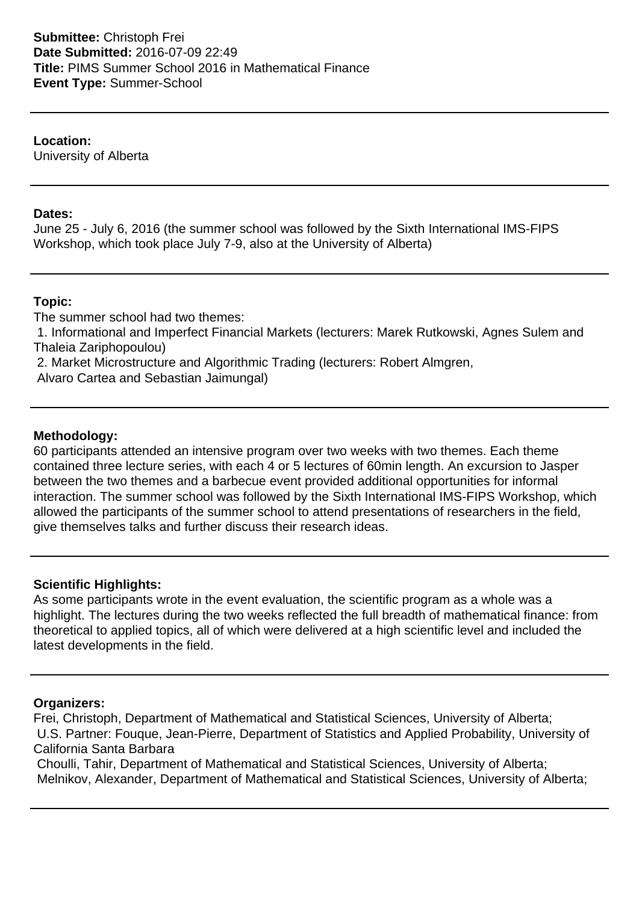**Location:**

University of Alberta

### **Dates:**

June 25 - July 6, 2016 (the summer school was followed by the Sixth International IMS-FIPS Workshop, which took place July 7-9, also at the University of Alberta)

#### **Topic:**

The summer school had two themes: 1. Informational and Imperfect Financial Markets (lecturers: Marek Rutkowski, Agnes Sulem and Thaleia Zariphopoulou) 2. Market Microstructure and Algorithmic Trading (lecturers: Robert Almgren,

Alvaro Cartea and Sebastian Jaimungal)

#### **Methodology:**

60 participants attended an intensive program over two weeks with two themes. Each theme contained three lecture series, with each 4 or 5 lectures of 60min length. An excursion to Jasper between the two themes and a barbecue event provided additional opportunities for informal interaction. The summer school was followed by the Sixth International IMS-FIPS Workshop, which allowed the participants of the summer school to attend presentations of researchers in the field, give themselves talks and further discuss their research ideas.

#### **Scientific Highlights:**

As some participants wrote in the event evaluation, the scientific program as a whole was a highlight. The lectures during the two weeks reflected the full breadth of mathematical finance: from theoretical to applied topics, all of which were delivered at a high scientific level and included the latest developments in the field.

## **Organizers:**

Frei, Christoph, Department of Mathematical and Statistical Sciences, University of Alberta; U.S. Partner: Fouque, Jean-Pierre, Department of Statistics and Applied Probability, University of California Santa Barbara

 Choulli, Tahir, Department of Mathematical and Statistical Sciences, University of Alberta; Melnikov, Alexander, Department of Mathematical and Statistical Sciences, University of Alberta;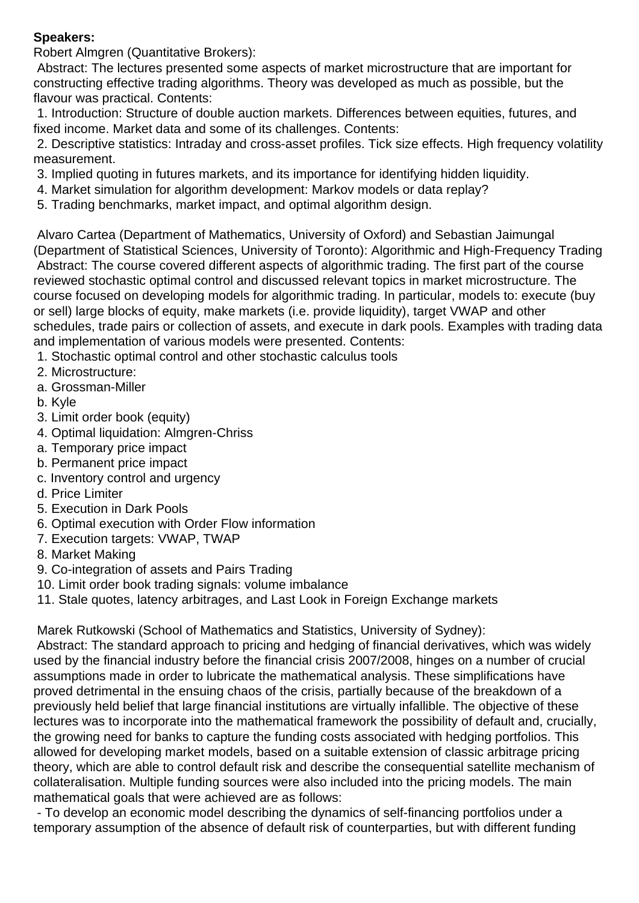## **Speakers:**

Robert Almgren (Quantitative Brokers):

 Abstract: The lectures presented some aspects of market microstructure that are important for constructing effective trading algorithms. Theory was developed as much as possible, but the flavour was practical. Contents:

 1. Introduction: Structure of double auction markets. Differences between equities, futures, and fixed income. Market data and some of its challenges. Contents:

 2. Descriptive statistics: Intraday and cross-asset profiles. Tick size effects. High frequency volatility measurement.

- 3. Implied quoting in futures markets, and its importance for identifying hidden liquidity.
- 4. Market simulation for algorithm development: Markov models or data replay?
- 5. Trading benchmarks, market impact, and optimal algorithm design.

 Alvaro Cartea (Department of Mathematics, University of Oxford) and Sebastian Jaimungal (Department of Statistical Sciences, University of Toronto): Algorithmic and High-Frequency Trading Abstract: The course covered different aspects of algorithmic trading. The first part of the course reviewed stochastic optimal control and discussed relevant topics in market microstructure. The course focused on developing models for algorithmic trading. In particular, models to: execute (buy or sell) large blocks of equity, make markets (i.e. provide liquidity), target VWAP and other schedules, trade pairs or collection of assets, and execute in dark pools. Examples with trading data and implementation of various models were presented. Contents:

- 1. Stochastic optimal control and other stochastic calculus tools
- 2. Microstructure:
- a. Grossman-Miller
- b. Kyle
- 3. Limit order book (equity)
- 4. Optimal liquidation: Almgren-Chriss
- a. Temporary price impact
- b. Permanent price impact
- c. Inventory control and urgency
- d. Price Limiter
- 5. Execution in Dark Pools
- 6. Optimal execution with Order Flow information
- 7. Execution targets: VWAP, TWAP
- 8. Market Making
- 9. Co-integration of assets and Pairs Trading
- 10. Limit order book trading signals: volume imbalance
- 11. Stale quotes, latency arbitrages, and Last Look in Foreign Exchange markets

Marek Rutkowski (School of Mathematics and Statistics, University of Sydney):

 Abstract: The standard approach to pricing and hedging of financial derivatives, which was widely used by the financial industry before the financial crisis 2007/2008, hinges on a number of crucial assumptions made in order to lubricate the mathematical analysis. These simplifications have proved detrimental in the ensuing chaos of the crisis, partially because of the breakdown of a previously held belief that large financial institutions are virtually infallible. The objective of these lectures was to incorporate into the mathematical framework the possibility of default and, crucially, the growing need for banks to capture the funding costs associated with hedging portfolios. This allowed for developing market models, based on a suitable extension of classic arbitrage pricing theory, which are able to control default risk and describe the consequential satellite mechanism of collateralisation. Multiple funding sources were also included into the pricing models. The main mathematical goals that were achieved are as follows:

 - To develop an economic model describing the dynamics of self-financing portfolios under a temporary assumption of the absence of default risk of counterparties, but with different funding